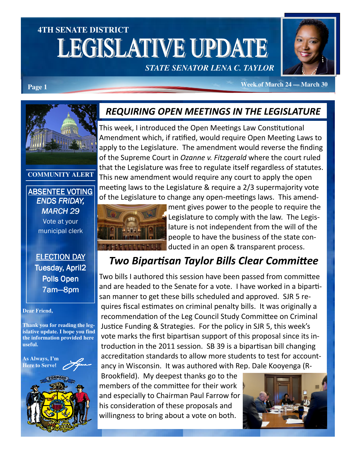# **4TH SENATE DISTRICT LEGISLATIVE UPDATE** *STATE SENATOR LENA C. TAYLOR*



**Page 1** *Page 1 Page 1* **<b>***Page 1 Page 1 Page 1 Page 1 Page 1 Page 1 Page 1 Page 1 Page 1 Page 1 Page 1 Page 1 Page 1 Page 1 Page 1 Page 1 Page 11* **<b>***Pag* 

## REQUIRING OPEN MEETINGS IN THE LEGISLATURE

This week, I introduced the Open Meetings Law Constitutional Amendment which, if ratified, would require Open Meeting Laws to apply to the Legislature. The amendment would reverse the finding of the Supreme Court in Ozanne v. Fitzgerald where the court ruled that the Legislature was free to regulate itself regardless of statutes. This new amendment would require any court to apply the open meeting laws to the Legislature & require a  $2/3$  supermajority vote of the Legislature to change any open-meetings laws. This amend-



ment gives power to the people to require the Legislature to comply with the law. The Legislature is not independent from the will of the people to have the business of the state conducted in an open & transparent process.

## Two Bipartisan Taylor Bills Clear Committee

Two bills I authored this session have been passed from committee and are headed to the Senate for a vote. I have worked in a bipartisan manner to get these bills scheduled and approved. SJR 5 requires fiscal estimates on criminal penalty bills. It was originally a recommendation of the Leg Council Study Committee on Criminal Justice Funding & Strategies. For the policy in SJR 5, this week's vote marks the first bipartisan support of this proposal since its introduction in the 2011 session. SB 39 is a bipartisan bill changing accreditation standards to allow more students to test for accountancy in Wisconsin. It was authored with Rep. Dale Kooyenga (R-

Brookfield). My deepest thanks go to the members of the committee for their work and especially to Chairman Paul Farrow for his consideration of these proposals and willingness to bring about a vote on both.





#### **COMMUNITY ALERT**

ABSENTEE VOTING ENDS FRIDAY, MARCH 29 Vote at your municipal clerk

#### ELECTION DAY Tuesday, April2 Polls Open 7am—8pm

#### **Dear Friend,**

**Thank you for reading the legislative update. I hope you find the information provided here useful.**